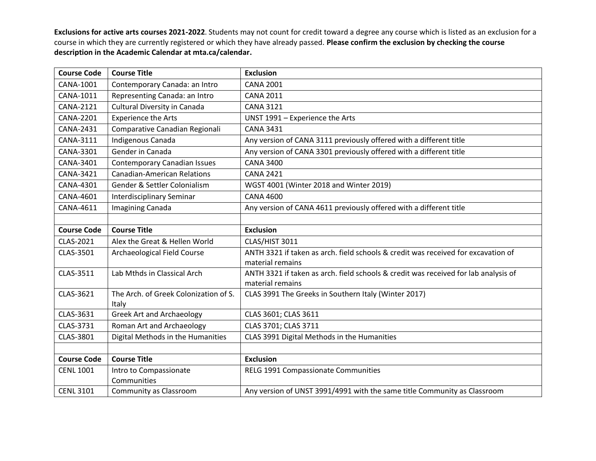| <b>Course Code</b> | <b>Course Title</b>                            | <b>Exclusion</b>                                                                                        |
|--------------------|------------------------------------------------|---------------------------------------------------------------------------------------------------------|
| CANA-1001          | Contemporary Canada: an Intro                  | <b>CANA 2001</b>                                                                                        |
| CANA-1011          | Representing Canada: an Intro                  | <b>CANA 2011</b>                                                                                        |
| CANA-2121          | <b>Cultural Diversity in Canada</b>            | <b>CANA 3121</b>                                                                                        |
| <b>CANA-2201</b>   | <b>Experience the Arts</b>                     | UNST 1991 - Experience the Arts                                                                         |
| CANA-2431          | Comparative Canadian Regionali                 | <b>CANA 3431</b>                                                                                        |
| CANA-3111          | Indigenous Canada                              | Any version of CANA 3111 previously offered with a different title                                      |
| CANA-3301          | Gender in Canada                               | Any version of CANA 3301 previously offered with a different title                                      |
| CANA-3401          | <b>Contemporary Canadian Issues</b>            | <b>CANA 3400</b>                                                                                        |
| CANA-3421          | <b>Canadian-American Relations</b>             | <b>CANA 2421</b>                                                                                        |
| CANA-4301          | Gender & Settler Colonialism                   | WGST 4001 (Winter 2018 and Winter 2019)                                                                 |
| <b>CANA-4601</b>   | Interdisciplinary Seminar                      | <b>CANA 4600</b>                                                                                        |
| CANA-4611          | Imagining Canada                               | Any version of CANA 4611 previously offered with a different title                                      |
|                    |                                                |                                                                                                         |
| <b>Course Code</b> | <b>Course Title</b>                            | <b>Exclusion</b>                                                                                        |
| CLAS-2021          | Alex the Great & Hellen World                  | CLAS/HIST 3011                                                                                          |
| CLAS-3501          | Archaeological Field Course                    | ANTH 3321 if taken as arch. field schools & credit was received for excavation of                       |
|                    |                                                | material remains                                                                                        |
| CLAS-3511          | Lab Mthds in Classical Arch                    | ANTH 3321 if taken as arch. field schools & credit was received for lab analysis of<br>material remains |
| CLAS-3621          | The Arch. of Greek Colonization of S.<br>Italy | CLAS 3991 The Greeks in Southern Italy (Winter 2017)                                                    |
| CLAS-3631          | <b>Greek Art and Archaeology</b>               | CLAS 3601; CLAS 3611                                                                                    |
| CLAS-3731          | Roman Art and Archaeology                      | CLAS 3701; CLAS 3711                                                                                    |
| CLAS-3801          | Digital Methods in the Humanities              | CLAS 3991 Digital Methods in the Humanities                                                             |
|                    |                                                |                                                                                                         |
| <b>Course Code</b> | <b>Course Title</b>                            | <b>Exclusion</b>                                                                                        |
| <b>CENL 1001</b>   | Intro to Compassionate<br>Communities          | RELG 1991 Compassionate Communities                                                                     |
| <b>CENL 3101</b>   | Community as Classroom                         | Any version of UNST 3991/4991 with the same title Community as Classroom                                |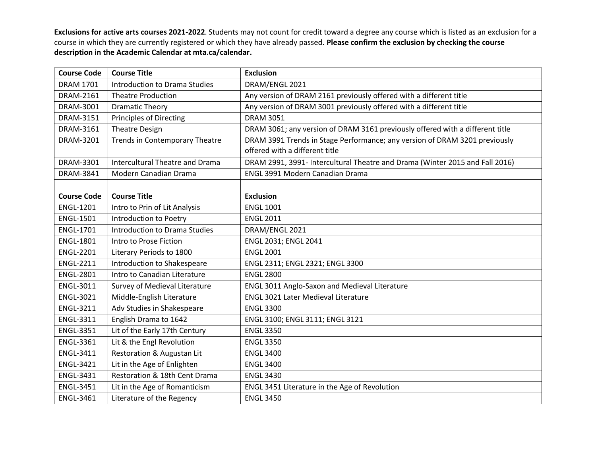| <b>Course Code</b> | <b>Course Title</b>                    | <b>Exclusion</b>                                                              |
|--------------------|----------------------------------------|-------------------------------------------------------------------------------|
| <b>DRAM 1701</b>   | <b>Introduction to Drama Studies</b>   | DRAM/ENGL 2021                                                                |
| DRAM-2161          | <b>Theatre Production</b>              | Any version of DRAM 2161 previously offered with a different title            |
| DRAM-3001          | <b>Dramatic Theory</b>                 | Any version of DRAM 3001 previously offered with a different title            |
| DRAM-3151          | <b>Principles of Directing</b>         | <b>DRAM 3051</b>                                                              |
| DRAM-3161          | <b>Theatre Design</b>                  | DRAM 3061; any version of DRAM 3161 previously offered with a different title |
| DRAM-3201          | Trends in Contemporary Theatre         | DRAM 3991 Trends in Stage Performance; any version of DRAM 3201 previously    |
|                    |                                        | offered with a different title                                                |
| DRAM-3301          | <b>Intercultural Theatre and Drama</b> | DRAM 2991, 3991- Intercultural Theatre and Drama (Winter 2015 and Fall 2016)  |
| DRAM-3841          | Modern Canadian Drama                  | <b>ENGL 3991 Modern Canadian Drama</b>                                        |
|                    |                                        |                                                                               |
| <b>Course Code</b> | <b>Course Title</b>                    | <b>Exclusion</b>                                                              |
| <b>ENGL-1201</b>   | Intro to Prin of Lit Analysis          | <b>ENGL 1001</b>                                                              |
| <b>ENGL-1501</b>   | Introduction to Poetry                 | <b>ENGL 2011</b>                                                              |
| <b>ENGL-1701</b>   | Introduction to Drama Studies          | DRAM/ENGL 2021                                                                |
| <b>ENGL-1801</b>   | Intro to Prose Fiction                 | ENGL 2031; ENGL 2041                                                          |
| <b>ENGL-2201</b>   | Literary Periods to 1800               | <b>ENGL 2001</b>                                                              |
| <b>ENGL-2211</b>   | Introduction to Shakespeare            | ENGL 2311; ENGL 2321; ENGL 3300                                               |
| <b>ENGL-2801</b>   | Intro to Canadian Literature           | <b>ENGL 2800</b>                                                              |
| <b>ENGL-3011</b>   | Survey of Medieval Literature          | ENGL 3011 Anglo-Saxon and Medieval Literature                                 |
| <b>ENGL-3021</b>   | Middle-English Literature              | <b>ENGL 3021 Later Medieval Literature</b>                                    |
| <b>ENGL-3211</b>   | Adv Studies in Shakespeare             | <b>ENGL 3300</b>                                                              |
| <b>ENGL-3311</b>   | English Drama to 1642                  | ENGL 3100; ENGL 3111; ENGL 3121                                               |
| <b>ENGL-3351</b>   | Lit of the Early 17th Century          | <b>ENGL 3350</b>                                                              |
| <b>ENGL-3361</b>   | Lit & the Engl Revolution              | <b>ENGL 3350</b>                                                              |
| <b>ENGL-3411</b>   | Restoration & Augustan Lit             | <b>ENGL 3400</b>                                                              |
| <b>ENGL-3421</b>   | Lit in the Age of Enlighten            | <b>ENGL 3400</b>                                                              |
| <b>ENGL-3431</b>   | Restoration & 18th Cent Drama          | <b>ENGL 3430</b>                                                              |
| <b>ENGL-3451</b>   | Lit in the Age of Romanticism          | ENGL 3451 Literature in the Age of Revolution                                 |
| <b>ENGL-3461</b>   | Literature of the Regency              | <b>ENGL 3450</b>                                                              |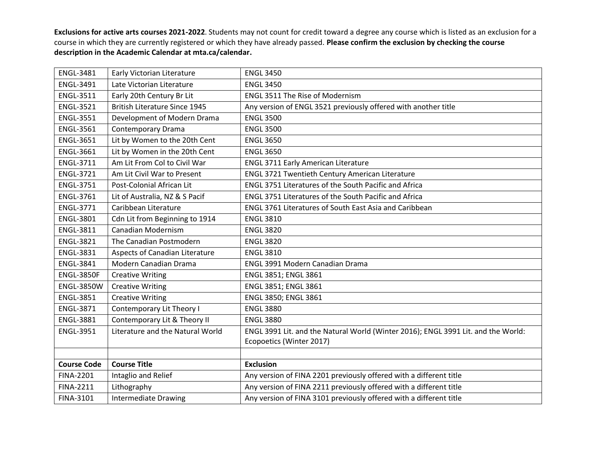| <b>ENGL-3481</b>   | Early Victorian Literature           | <b>ENGL 3450</b>                                                                  |
|--------------------|--------------------------------------|-----------------------------------------------------------------------------------|
| <b>ENGL-3491</b>   | Late Victorian Literature            | <b>ENGL 3450</b>                                                                  |
| <b>ENGL-3511</b>   | Early 20th Century Br Lit            | <b>ENGL 3511 The Rise of Modernism</b>                                            |
| <b>ENGL-3521</b>   | <b>British Literature Since 1945</b> | Any version of ENGL 3521 previously offered with another title                    |
| <b>ENGL-3551</b>   | Development of Modern Drama          | <b>ENGL 3500</b>                                                                  |
| <b>ENGL-3561</b>   | Contemporary Drama                   | <b>ENGL 3500</b>                                                                  |
| <b>ENGL-3651</b>   | Lit by Women to the 20th Cent        | <b>ENGL 3650</b>                                                                  |
| <b>ENGL-3661</b>   | Lit by Women in the 20th Cent        | <b>ENGL 3650</b>                                                                  |
| <b>ENGL-3711</b>   | Am Lit From Col to Civil War         | <b>ENGL 3711 Early American Literature</b>                                        |
| <b>ENGL-3721</b>   | Am Lit Civil War to Present          | ENGL 3721 Twentieth Century American Literature                                   |
| <b>ENGL-3751</b>   | Post-Colonial African Lit            | <b>ENGL 3751 Literatures of the South Pacific and Africa</b>                      |
| <b>ENGL-3761</b>   | Lit of Australia, NZ & S Pacif       | ENGL 3751 Literatures of the South Pacific and Africa                             |
| <b>ENGL-3771</b>   | Caribbean Literature                 | ENGL 3761 Literatures of South East Asia and Caribbean                            |
| <b>ENGL-3801</b>   | Cdn Lit from Beginning to 1914       | <b>ENGL 3810</b>                                                                  |
| <b>ENGL-3811</b>   | <b>Canadian Modernism</b>            | <b>ENGL 3820</b>                                                                  |
| <b>ENGL-3821</b>   | The Canadian Postmodern              | <b>ENGL 3820</b>                                                                  |
| <b>ENGL-3831</b>   | Aspects of Canadian Literature       | <b>ENGL 3810</b>                                                                  |
| <b>ENGL-3841</b>   | Modern Canadian Drama                | <b>ENGL 3991 Modern Canadian Drama</b>                                            |
| <b>ENGL-3850F</b>  | <b>Creative Writing</b>              | ENGL 3851; ENGL 3861                                                              |
| <b>ENGL-3850W</b>  | <b>Creative Writing</b>              | ENGL 3851; ENGL 3861                                                              |
| <b>ENGL-3851</b>   | <b>Creative Writing</b>              | ENGL 3850; ENGL 3861                                                              |
| <b>ENGL-3871</b>   | Contemporary Lit Theory I            | <b>ENGL 3880</b>                                                                  |
| <b>ENGL-3881</b>   | Contemporary Lit & Theory II         | <b>ENGL 3880</b>                                                                  |
| <b>ENGL-3951</b>   | Literature and the Natural World     | ENGL 3991 Lit. and the Natural World (Winter 2016); ENGL 3991 Lit. and the World: |
|                    |                                      | Ecopoetics (Winter 2017)                                                          |
|                    |                                      |                                                                                   |
| <b>Course Code</b> | <b>Course Title</b>                  | <b>Exclusion</b>                                                                  |
| <b>FINA-2201</b>   | Intaglio and Relief                  | Any version of FINA 2201 previously offered with a different title                |
| <b>FINA-2211</b>   | Lithography                          | Any version of FINA 2211 previously offered with a different title                |
| <b>FINA-3101</b>   | <b>Intermediate Drawing</b>          | Any version of FINA 3101 previously offered with a different title                |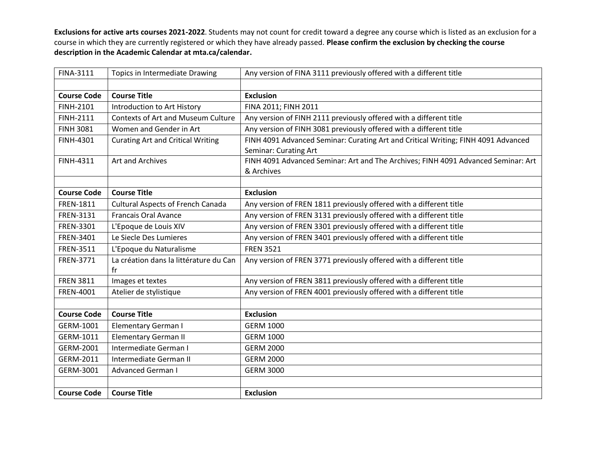| <b>FINA-3111</b>   | Topics in Intermediate Drawing            | Any version of FINA 3111 previously offered with a different title                |
|--------------------|-------------------------------------------|-----------------------------------------------------------------------------------|
|                    |                                           |                                                                                   |
| <b>Course Code</b> | <b>Course Title</b>                       | <b>Exclusion</b>                                                                  |
| <b>FINH-2101</b>   | Introduction to Art History               | FINA 2011; FINH 2011                                                              |
| <b>FINH-2111</b>   | <b>Contexts of Art and Museum Culture</b> | Any version of FINH 2111 previously offered with a different title                |
| <b>FINH 3081</b>   | Women and Gender in Art                   | Any version of FINH 3081 previously offered with a different title                |
| FINH-4301          | <b>Curating Art and Critical Writing</b>  | FINH 4091 Advanced Seminar: Curating Art and Critical Writing; FINH 4091 Advanced |
|                    |                                           | Seminar: Curating Art                                                             |
| FINH-4311          | Art and Archives                          | FINH 4091 Advanced Seminar: Art and The Archives; FINH 4091 Advanced Seminar: Art |
|                    |                                           | & Archives                                                                        |
|                    |                                           |                                                                                   |
| <b>Course Code</b> | <b>Course Title</b>                       | <b>Exclusion</b>                                                                  |
| <b>FREN-1811</b>   | <b>Cultural Aspects of French Canada</b>  | Any version of FREN 1811 previously offered with a different title                |
| FREN-3131          | <b>Francais Oral Avance</b>               | Any version of FREN 3131 previously offered with a different title                |
| FREN-3301          | L'Epoque de Louis XIV                     | Any version of FREN 3301 previously offered with a different title                |
| FREN-3401          | Le Siecle Des Lumieres                    | Any version of FREN 3401 previously offered with a different title                |
| FREN-3511          | L'Epoque du Naturalisme                   | <b>FREN 3521</b>                                                                  |
| FREN-3771          | La création dans la littérature du Can    | Any version of FREN 3771 previously offered with a different title                |
|                    | fr                                        |                                                                                   |
| <b>FREN 3811</b>   | Images et textes                          | Any version of FREN 3811 previously offered with a different title                |
| FREN-4001          | Atelier de stylistique                    | Any version of FREN 4001 previously offered with a different title                |
|                    |                                           |                                                                                   |
| <b>Course Code</b> | <b>Course Title</b>                       | <b>Exclusion</b>                                                                  |
| GERM-1001          | Elementary German I                       | <b>GERM 1000</b>                                                                  |
| GERM-1011          | <b>Elementary German II</b>               | <b>GERM 1000</b>                                                                  |
| GERM-2001          | Intermediate German I                     | <b>GERM 2000</b>                                                                  |
| GERM-2011          | Intermediate German II                    | <b>GERM 2000</b>                                                                  |
| GERM-3001          | <b>Advanced German I</b>                  | <b>GERM 3000</b>                                                                  |
|                    |                                           |                                                                                   |
| <b>Course Code</b> | <b>Course Title</b>                       | <b>Exclusion</b>                                                                  |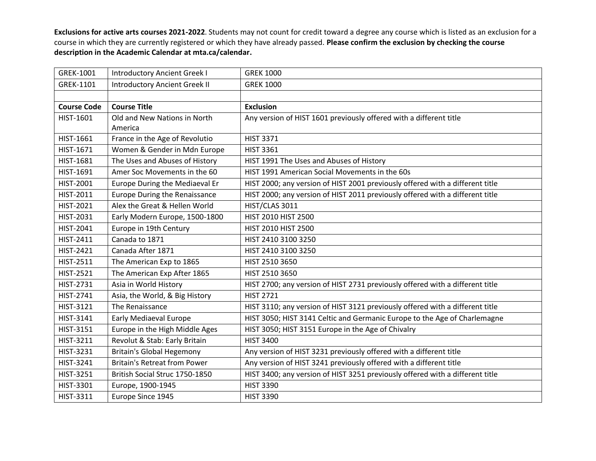| GREK-1001          | <b>Introductory Ancient Greek I</b>  | <b>GREK 1000</b>                                                              |
|--------------------|--------------------------------------|-------------------------------------------------------------------------------|
| GREK-1101          | <b>Introductory Ancient Greek II</b> | <b>GREK 1000</b>                                                              |
|                    |                                      |                                                                               |
| <b>Course Code</b> | <b>Course Title</b>                  | <b>Exclusion</b>                                                              |
| HIST-1601          | Old and New Nations in North         | Any version of HIST 1601 previously offered with a different title            |
|                    | America                              |                                                                               |
| HIST-1661          | France in the Age of Revolutio       | <b>HIST 3371</b>                                                              |
| HIST-1671          | Women & Gender in Mdn Europe         | <b>HIST 3361</b>                                                              |
| HIST-1681          | The Uses and Abuses of History       | HIST 1991 The Uses and Abuses of History                                      |
| HIST-1691          | Amer Soc Movements in the 60         | HIST 1991 American Social Movements in the 60s                                |
| HIST-2001          | Europe During the Mediaeval Er       | HIST 2000; any version of HIST 2001 previously offered with a different title |
| HIST-2011          | <b>Europe During the Renaissance</b> | HIST 2000; any version of HIST 2011 previously offered with a different title |
| HIST-2021          | Alex the Great & Hellen World        | HIST/CLAS 3011                                                                |
| HIST-2031          | Early Modern Europe, 1500-1800       | HIST 2010 HIST 2500                                                           |
| HIST-2041          | Europe in 19th Century               | HIST 2010 HIST 2500                                                           |
| HIST-2411          | Canada to 1871                       | HIST 2410 3100 3250                                                           |
| HIST-2421          | Canada After 1871                    | HIST 2410 3100 3250                                                           |
| HIST-2511          | The American Exp to 1865             | HIST 2510 3650                                                                |
| <b>HIST-2521</b>   | The American Exp After 1865          | HIST 2510 3650                                                                |
| HIST-2731          | Asia in World History                | HIST 2700; any version of HIST 2731 previously offered with a different title |
| HIST-2741          | Asia, the World, & Big History       | <b>HIST 2721</b>                                                              |
| HIST-3121          | The Renaissance                      | HIST 3110; any version of HIST 3121 previously offered with a different title |
| HIST-3141          | Early Mediaeval Europe               | HIST 3050; HIST 3141 Celtic and Germanic Europe to the Age of Charlemagne     |
| HIST-3151          | Europe in the High Middle Ages       | HIST 3050; HIST 3151 Europe in the Age of Chivalry                            |
| HIST-3211          | Revolut & Stab: Early Britain        | <b>HIST 3400</b>                                                              |
| HIST-3231          | <b>Britain's Global Hegemony</b>     | Any version of HIST 3231 previously offered with a different title            |
| HIST-3241          | <b>Britain's Retreat from Power</b>  | Any version of HIST 3241 previously offered with a different title            |
| HIST-3251          | British Social Struc 1750-1850       | HIST 3400; any version of HIST 3251 previously offered with a different title |
| HIST-3301          | Europe, 1900-1945                    | <b>HIST 3390</b>                                                              |
| HIST-3311          | Europe Since 1945                    | <b>HIST 3390</b>                                                              |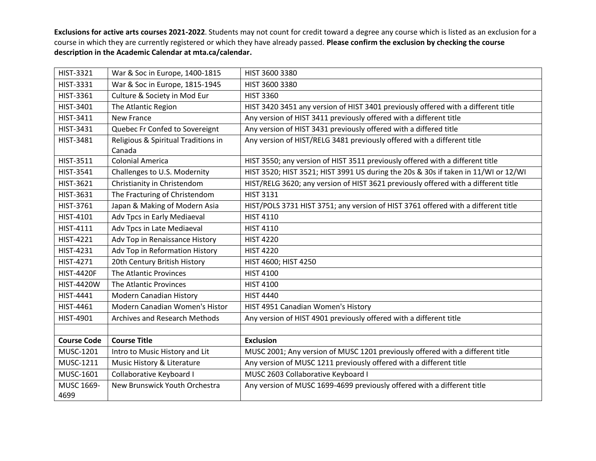| HIST-3321          | War & Soc in Europe, 1400-1815       | HIST 3600 3380                                                                     |
|--------------------|--------------------------------------|------------------------------------------------------------------------------------|
| HIST-3331          | War & Soc in Europe, 1815-1945       | HIST 3600 3380                                                                     |
| HIST-3361          | Culture & Society in Mod Eur         | <b>HIST 3360</b>                                                                   |
| HIST-3401          | The Atlantic Region                  | HIST 3420 3451 any version of HIST 3401 previously offered with a different title  |
| HIST-3411          | New France                           | Any version of HIST 3411 previously offered with a different title                 |
| HIST-3431          | Quebec Fr Confed to Sovereignt       | Any version of HIST 3431 previously offered with a differed title                  |
| HIST-3481          | Religious & Spiritual Traditions in  | Any version of HIST/RELG 3481 previously offered with a different title            |
|                    | Canada                               |                                                                                    |
| HIST-3511          | <b>Colonial America</b>              | HIST 3550; any version of HIST 3511 previously offered with a different title      |
| HIST-3541          | Challenges to U.S. Modernity         | HIST 3520; HIST 3521; HIST 3991 US during the 20s & 30s if taken in 11/WI or 12/WI |
| HIST-3621          | Christianity in Christendom          | HIST/RELG 3620; any version of HIST 3621 previously offered with a different title |
| HIST-3631          | The Fracturing of Christendom        | <b>HIST 3131</b>                                                                   |
| HIST-3761          | Japan & Making of Modern Asia        | HIST/POLS 3731 HIST 3751; any version of HIST 3761 offered with a different title  |
| HIST-4101          | Adv Tpcs in Early Mediaeval          | <b>HIST 4110</b>                                                                   |
| HIST-4111          | Adv Tpcs in Late Mediaeval           | <b>HIST 4110</b>                                                                   |
| HIST-4221          | Adv Top in Renaissance History       | <b>HIST 4220</b>                                                                   |
| HIST-4231          | Adv Top in Reformation History       | <b>HIST 4220</b>                                                                   |
| HIST-4271          | 20th Century British History         | HIST 4600; HIST 4250                                                               |
| <b>HIST-4420F</b>  | The Atlantic Provinces               | <b>HIST 4100</b>                                                                   |
| <b>HIST-4420W</b>  | The Atlantic Provinces               | <b>HIST 4100</b>                                                                   |
| HIST-4441          | <b>Modern Canadian History</b>       | <b>HIST 4440</b>                                                                   |
| HIST-4461          | Modern Canadian Women's Histor       | HIST 4951 Canadian Women's History                                                 |
| HIST-4901          | <b>Archives and Research Methods</b> | Any version of HIST 4901 previously offered with a different title                 |
|                    |                                      |                                                                                    |
| <b>Course Code</b> | <b>Course Title</b>                  | <b>Exclusion</b>                                                                   |
| MUSC-1201          | Intro to Music History and Lit       | MUSC 2001; Any version of MUSC 1201 previously offered with a different title      |
| MUSC-1211          | Music History & Literature           | Any version of MUSC 1211 previously offered with a different title                 |
| MUSC-1601          | Collaborative Keyboard I             | MUSC 2603 Collaborative Keyboard I                                                 |
| MUSC 1669-         | New Brunswick Youth Orchestra        | Any version of MUSC 1699-4699 previously offered with a different title            |
| 4699               |                                      |                                                                                    |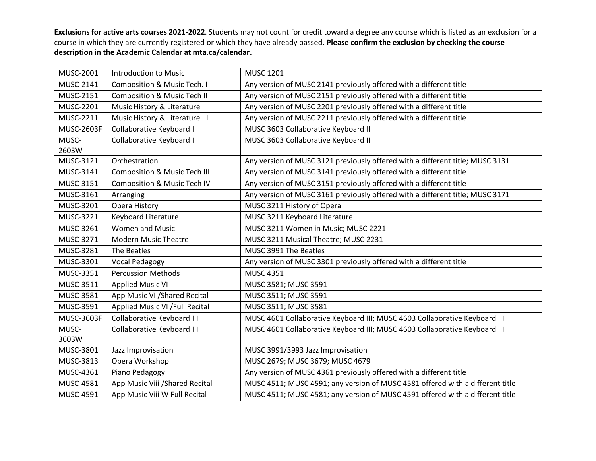| MUSC-2001         | <b>Introduction to Music</b>            | <b>MUSC 1201</b>                                                              |
|-------------------|-----------------------------------------|-------------------------------------------------------------------------------|
| MUSC-2141         | <b>Composition &amp; Music Tech. I</b>  | Any version of MUSC 2141 previously offered with a different title            |
| <b>MUSC-2151</b>  | <b>Composition &amp; Music Tech II</b>  | Any version of MUSC 2151 previously offered with a different title            |
| MUSC-2201         | Music History & Literature II           | Any version of MUSC 2201 previously offered with a different title            |
| MUSC-2211         | Music History & Literature III          | Any version of MUSC 2211 previously offered with a different title            |
| <b>MUSC-2603F</b> | Collaborative Keyboard II               | MUSC 3603 Collaborative Keyboard II                                           |
| MUSC-             | Collaborative Keyboard II               | MUSC 3603 Collaborative Keyboard II                                           |
| 2603W             |                                         |                                                                               |
| MUSC-3121         | Orchestration                           | Any version of MUSC 3121 previously offered with a different title; MUSC 3131 |
| MUSC-3141         | <b>Composition &amp; Music Tech III</b> | Any version of MUSC 3141 previously offered with a different title            |
| MUSC-3151         | <b>Composition &amp; Music Tech IV</b>  | Any version of MUSC 3151 previously offered with a different title            |
| MUSC-3161         | Arranging                               | Any version of MUSC 3161 previously offered with a different title; MUSC 3171 |
| MUSC-3201         | Opera History                           | MUSC 3211 History of Opera                                                    |
| MUSC-3221         | Keyboard Literature                     | MUSC 3211 Keyboard Literature                                                 |
| MUSC-3261         | <b>Women and Music</b>                  | MUSC 3211 Women in Music; MUSC 2221                                           |
| MUSC-3271         | <b>Modern Music Theatre</b>             | MUSC 3211 Musical Theatre; MUSC 2231                                          |
| MUSC-3281         | The Beatles                             | MUSC 3991 The Beatles                                                         |
| MUSC-3301         | <b>Vocal Pedagogy</b>                   | Any version of MUSC 3301 previously offered with a different title            |
| MUSC-3351         | <b>Percussion Methods</b>               | <b>MUSC 4351</b>                                                              |
| MUSC-3511         | <b>Applied Music VI</b>                 | MUSC 3581; MUSC 3591                                                          |
| MUSC-3581         | App Music VI / Shared Recital           | MUSC 3511; MUSC 3591                                                          |
| MUSC-3591         | Applied Music VI / Full Recital         | MUSC 3511; MUSC 3581                                                          |
| <b>MUSC-3603F</b> | <b>Collaborative Keyboard III</b>       | MUSC 4601 Collaborative Keyboard III; MUSC 4603 Collaborative Keyboard III    |
| MUSC-             | <b>Collaborative Keyboard III</b>       | MUSC 4601 Collaborative Keyboard III; MUSC 4603 Collaborative Keyboard III    |
| 3603W             |                                         |                                                                               |
| MUSC-3801         | Jazz Improvisation                      | MUSC 3991/3993 Jazz Improvisation                                             |
| MUSC-3813         | Opera Workshop                          | MUSC 2679; MUSC 3679; MUSC 4679                                               |
| MUSC-4361         | Piano Pedagogy                          | Any version of MUSC 4361 previously offered with a different title            |
| MUSC-4581         | App Music Viii / Shared Recital         | MUSC 4511; MUSC 4591; any version of MUSC 4581 offered with a different title |
| MUSC-4591         | App Music Viii W Full Recital           | MUSC 4511; MUSC 4581; any version of MUSC 4591 offered with a different title |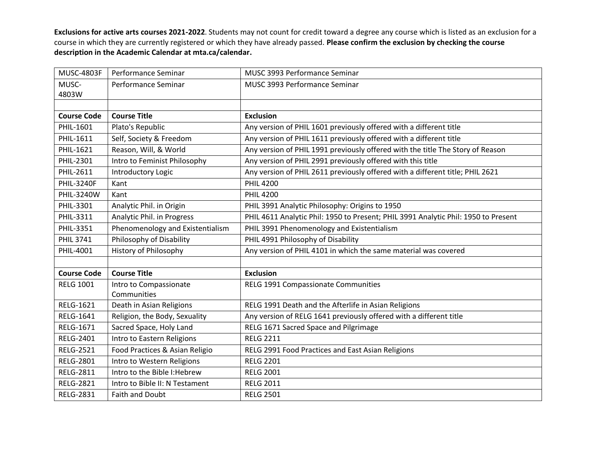| <b>MUSC-4803F</b>  | Performance Seminar              | MUSC 3993 Performance Seminar                                                      |
|--------------------|----------------------------------|------------------------------------------------------------------------------------|
| MUSC-              | Performance Seminar              | MUSC 3993 Performance Seminar                                                      |
| 4803W              |                                  |                                                                                    |
|                    |                                  |                                                                                    |
| <b>Course Code</b> | <b>Course Title</b>              | <b>Exclusion</b>                                                                   |
| PHIL-1601          | Plato's Republic                 | Any version of PHIL 1601 previously offered with a different title                 |
| PHIL-1611          | Self, Society & Freedom          | Any version of PHIL 1611 previously offered with a different title                 |
| PHIL-1621          | Reason, Will, & World            | Any version of PHIL 1991 previously offered with the title The Story of Reason     |
| PHIL-2301          | Intro to Feminist Philosophy     | Any version of PHIL 2991 previously offered with this title                        |
| PHIL-2611          | Introductory Logic               | Any version of PHIL 2611 previously offered with a different title; PHIL 2621      |
| <b>PHIL-3240F</b>  | Kant                             | <b>PHIL 4200</b>                                                                   |
| PHIL-3240W         | Kant                             | <b>PHIL 4200</b>                                                                   |
| PHIL-3301          | Analytic Phil. in Origin         | PHIL 3991 Analytic Philosophy: Origins to 1950                                     |
| PHIL-3311          | Analytic Phil. in Progress       | PHIL 4611 Analytic Phil: 1950 to Present; PHIL 3991 Analytic Phil: 1950 to Present |
| PHIL-3351          | Phenomenology and Existentialism | PHIL 3991 Phenomenology and Existentialism                                         |
| <b>PHIL 3741</b>   | Philosophy of Disability         | PHIL 4991 Philosophy of Disability                                                 |
| PHIL-4001          | History of Philosophy            | Any version of PHIL 4101 in which the same material was covered                    |
|                    |                                  |                                                                                    |
| <b>Course Code</b> | <b>Course Title</b>              | <b>Exclusion</b>                                                                   |
| <b>RELG 1001</b>   | Intro to Compassionate           | RELG 1991 Compassionate Communities                                                |
|                    | Communities                      |                                                                                    |
| <b>RELG-1621</b>   | Death in Asian Religions         | RELG 1991 Death and the Afterlife in Asian Religions                               |
| RELG-1641          | Religion, the Body, Sexuality    | Any version of RELG 1641 previously offered with a different title                 |
| RELG-1671          | Sacred Space, Holy Land          | RELG 1671 Sacred Space and Pilgrimage                                              |
| RELG-2401          | Intro to Eastern Religions       | <b>RELG 2211</b>                                                                   |
| <b>RELG-2521</b>   | Food Practices & Asian Religio   | RELG 2991 Food Practices and East Asian Religions                                  |
| <b>RELG-2801</b>   | Intro to Western Religions       | <b>RELG 2201</b>                                                                   |
| <b>RELG-2811</b>   | Intro to the Bible I: Hebrew     | <b>RELG 2001</b>                                                                   |
| <b>RELG-2821</b>   | Intro to Bible II: N Testament   | <b>RELG 2011</b>                                                                   |
| <b>RELG-2831</b>   | Faith and Doubt                  | <b>RELG 2501</b>                                                                   |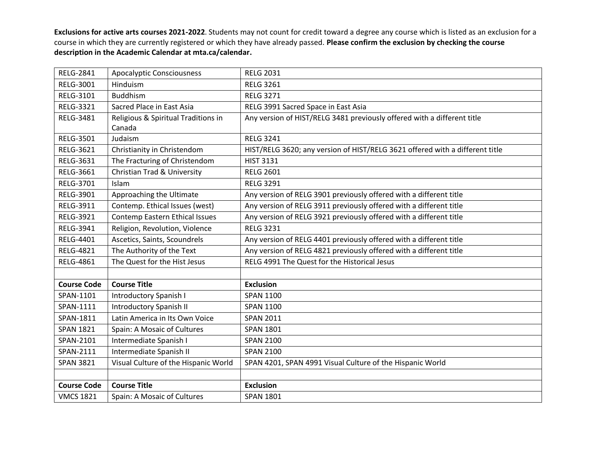| <b>RELG-2841</b>   | <b>Apocalyptic Consciousness</b>       | <b>RELG 2031</b>                                                             |
|--------------------|----------------------------------------|------------------------------------------------------------------------------|
| RELG-3001          | Hinduism                               | <b>RELG 3261</b>                                                             |
| RELG-3101          | <b>Buddhism</b>                        | <b>RELG 3271</b>                                                             |
| <b>RELG-3321</b>   | Sacred Place in East Asia              | RELG 3991 Sacred Space in East Asia                                          |
| RELG-3481          | Religious & Spiritual Traditions in    | Any version of HIST/RELG 3481 previously offered with a different title      |
|                    | Canada                                 |                                                                              |
| <b>RELG-3501</b>   | Judaism                                | <b>RELG 3241</b>                                                             |
| RELG-3621          | Christianity in Christendom            | HIST/RELG 3620; any version of HIST/RELG 3621 offered with a different title |
| RELG-3631          | The Fracturing of Christendom          | <b>HIST 3131</b>                                                             |
| RELG-3661          | <b>Christian Trad &amp; University</b> | <b>RELG 2601</b>                                                             |
| RELG-3701          | Islam                                  | <b>RELG 3291</b>                                                             |
| RELG-3901          | Approaching the Ultimate               | Any version of RELG 3901 previously offered with a different title           |
| RELG-3911          | Contemp. Ethical Issues (west)         | Any version of RELG 3911 previously offered with a different title           |
| RELG-3921          | Contemp Eastern Ethical Issues         | Any version of RELG 3921 previously offered with a different title           |
| RELG-3941          | Religion, Revolution, Violence         | <b>RELG 3231</b>                                                             |
| <b>RELG-4401</b>   | Ascetics, Saints, Scoundrels           | Any version of RELG 4401 previously offered with a different title           |
| <b>RELG-4821</b>   | The Authority of the Text              | Any version of RELG 4821 previously offered with a different title           |
| <b>RELG-4861</b>   | The Quest for the Hist Jesus           | RELG 4991 The Quest for the Historical Jesus                                 |
|                    |                                        |                                                                              |
| <b>Course Code</b> | <b>Course Title</b>                    | <b>Exclusion</b>                                                             |
| SPAN-1101          | <b>Introductory Spanish I</b>          | <b>SPAN 1100</b>                                                             |
| SPAN-1111          | <b>Introductory Spanish II</b>         | <b>SPAN 1100</b>                                                             |
| SPAN-1811          | Latin America in Its Own Voice         | <b>SPAN 2011</b>                                                             |
| <b>SPAN 1821</b>   | Spain: A Mosaic of Cultures            | <b>SPAN 1801</b>                                                             |
| SPAN-2101          | Intermediate Spanish I                 | <b>SPAN 2100</b>                                                             |
| SPAN-2111          | Intermediate Spanish II                | <b>SPAN 2100</b>                                                             |
| <b>SPAN 3821</b>   | Visual Culture of the Hispanic World   | SPAN 4201, SPAN 4991 Visual Culture of the Hispanic World                    |
|                    |                                        |                                                                              |
| <b>Course Code</b> | <b>Course Title</b>                    | <b>Exclusion</b>                                                             |
| <b>VMCS 1821</b>   | Spain: A Mosaic of Cultures            | <b>SPAN 1801</b>                                                             |